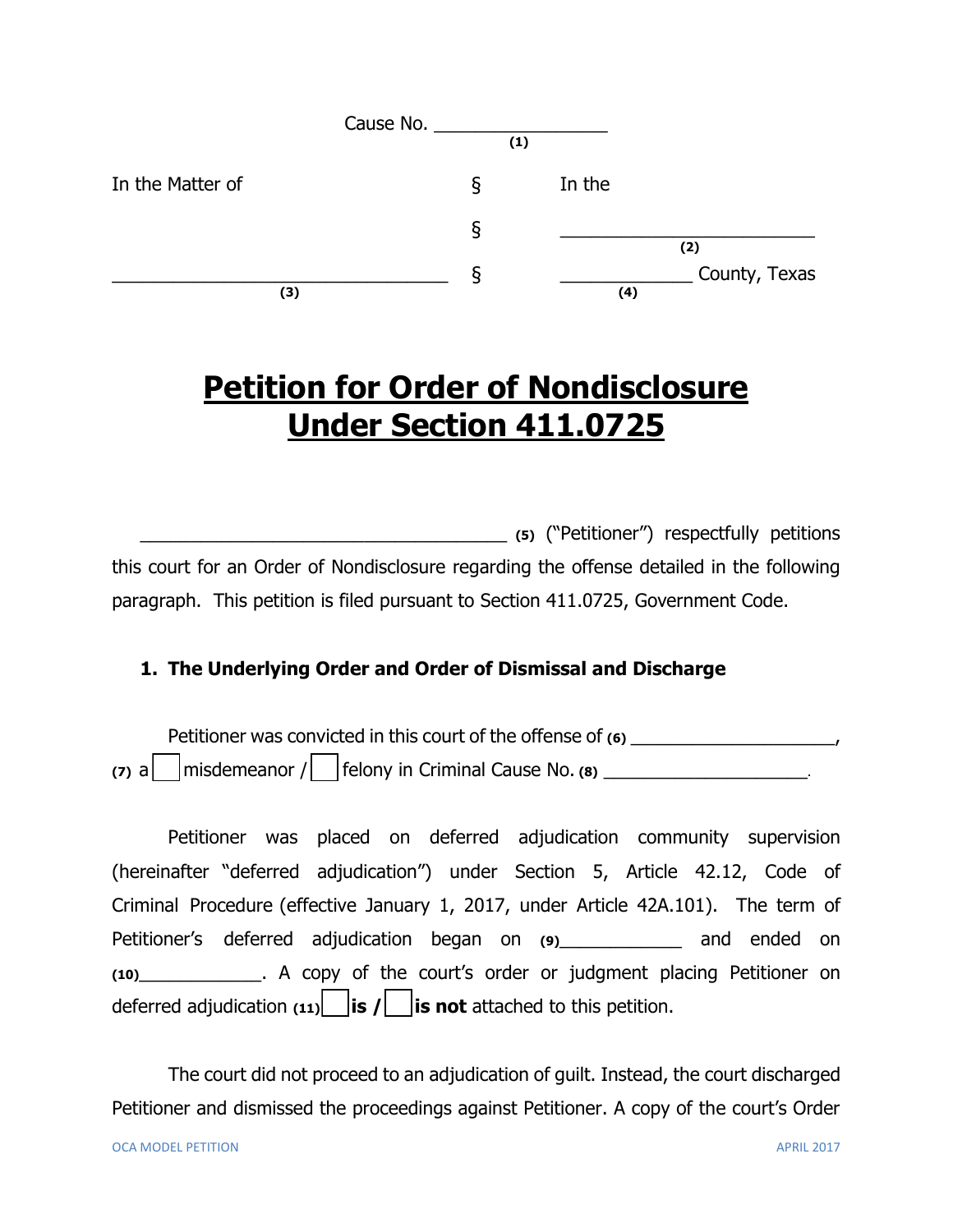|                  | Cause No. |     |        |               |
|------------------|-----------|-----|--------|---------------|
|                  |           | (1) |        |               |
| In the Matter of |           | S   | In the |               |
|                  |           | δ   |        | (2)           |
| (3)              |           | O   | (4)    | County, Texas |

# **Petition for Order of Nondisclosure Under Section 411.0725**

\_\_\_\_\_\_\_\_\_\_\_\_\_\_\_\_\_\_\_\_\_\_\_\_\_\_\_\_\_\_\_\_\_\_\_\_ **(5)** ("Petitioner") respectfully petitions this court for an Order of Nondisclosure regarding the offense detailed in the following paragraph. This petition is filed pursuant to Section 411.0725, Government Code.

## **1. The Underlying Order and Order of Dismissal and Discharge**

Petitioner was convicted in this court of the offense of  $(6)$  $(7)$  a misdemeanor  $/$  felony in Criminal Cause No.  $(8)$ 

Petitioner was placed on deferred adjudication community supervision (hereinafter "deferred adjudication") under Section 5, Article 42.12, Code of Criminal Procedure (effective January 1, 2017, under Article 42A.101). The term of Petitioner's deferred adjudication began on **(9)**\_\_\_\_\_\_\_\_\_\_\_\_ and ended on **(10)**\_\_\_\_\_\_\_\_\_\_\_\_. A copy of the court's order or judgment placing Petitioner on deferred adjudication  $(11)$  **is /** is not attached to this petition.

The court did not proceed to an adjudication of guilt. Instead, the court discharged Petitioner and dismissed the proceedings against Petitioner. A copy of the court's Order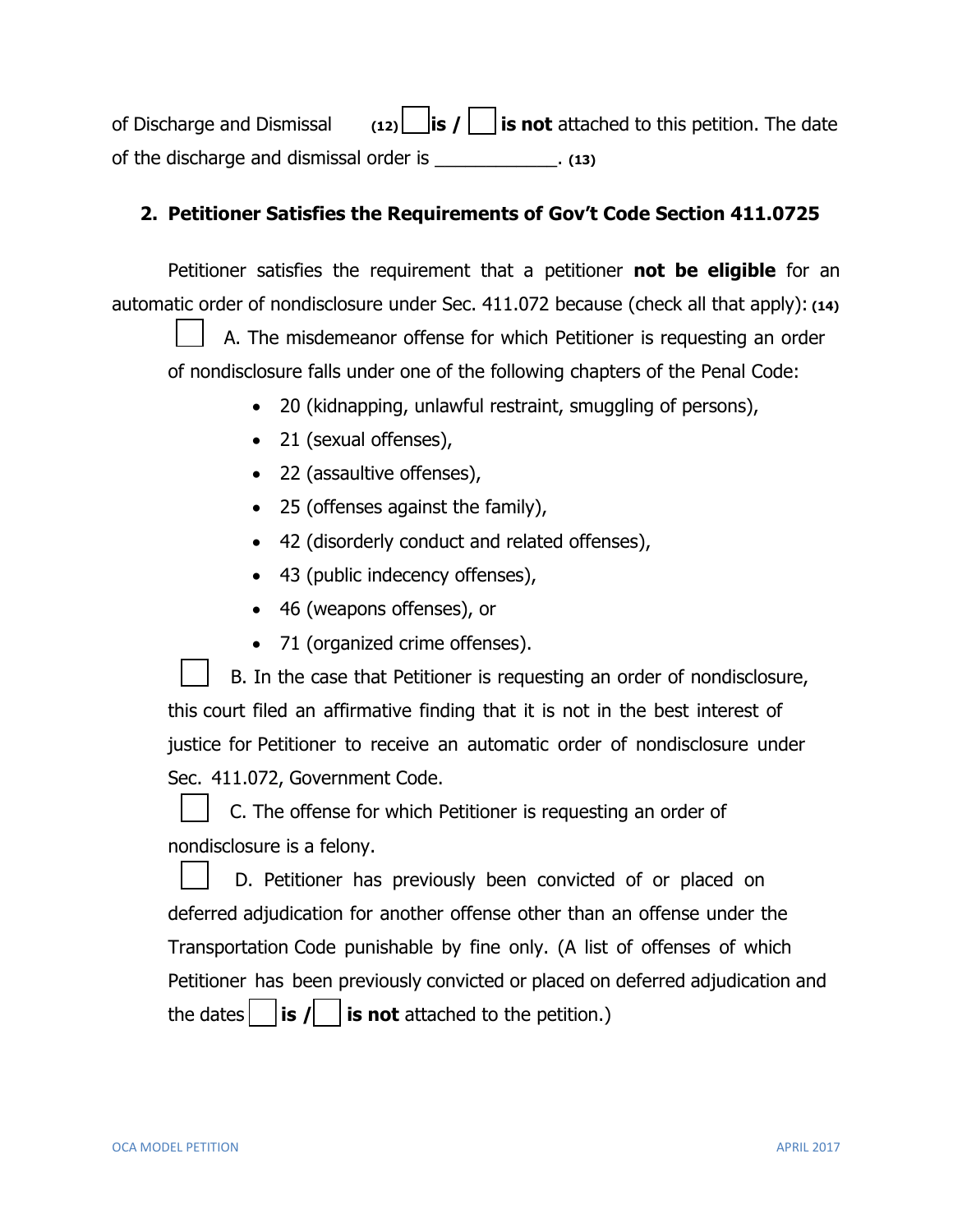of Discharge and Dismissal **(12) is / is not** attached to this petition. The date of the discharge and dismissal order is \_\_\_\_\_\_\_\_\_\_\_\_. **(13)**

#### **2. Petitioner Satisfies the Requirements of Gov't Code Section 411.0725**

Petitioner satisfies the requirement that a petitioner **not be eligible** for an automatic order of nondisclosure under Sec. 411.072 because (check all that apply): **(14)**

A. The misdemeanor offense for which Petitioner is requesting an order of nondisclosure falls under one of the following chapters of the Penal Code:

- 20 (kidnapping, unlawful restraint, smuggling of persons),
- 21 (sexual offenses),
- 22 (assaultive offenses),
- 25 (offenses against the family),
- 42 (disorderly conduct and related offenses),
- 43 (public indecency offenses),
- 46 (weapons offenses), or
- 71 (organized crime offenses).

B. In the case that Petitioner is requesting an order of nondisclosure, this court filed an affirmative finding that it is not in the best interest of justice for Petitioner to receive an automatic order of nondisclosure under Sec. 411.072, Government Code.

C. The offense for which Petitioner is requesting an order of nondisclosure is a felony.

D. Petitioner has previously been convicted of or placed on deferred adjudication for another offense other than an offense under the Transportation Code punishable by fine only. (A list of offenses of which Petitioner has been previously convicted or placed on deferred adjudication and the dates  $\Box$  **is**  $\prime \Box$  **is not** attached to the petition.)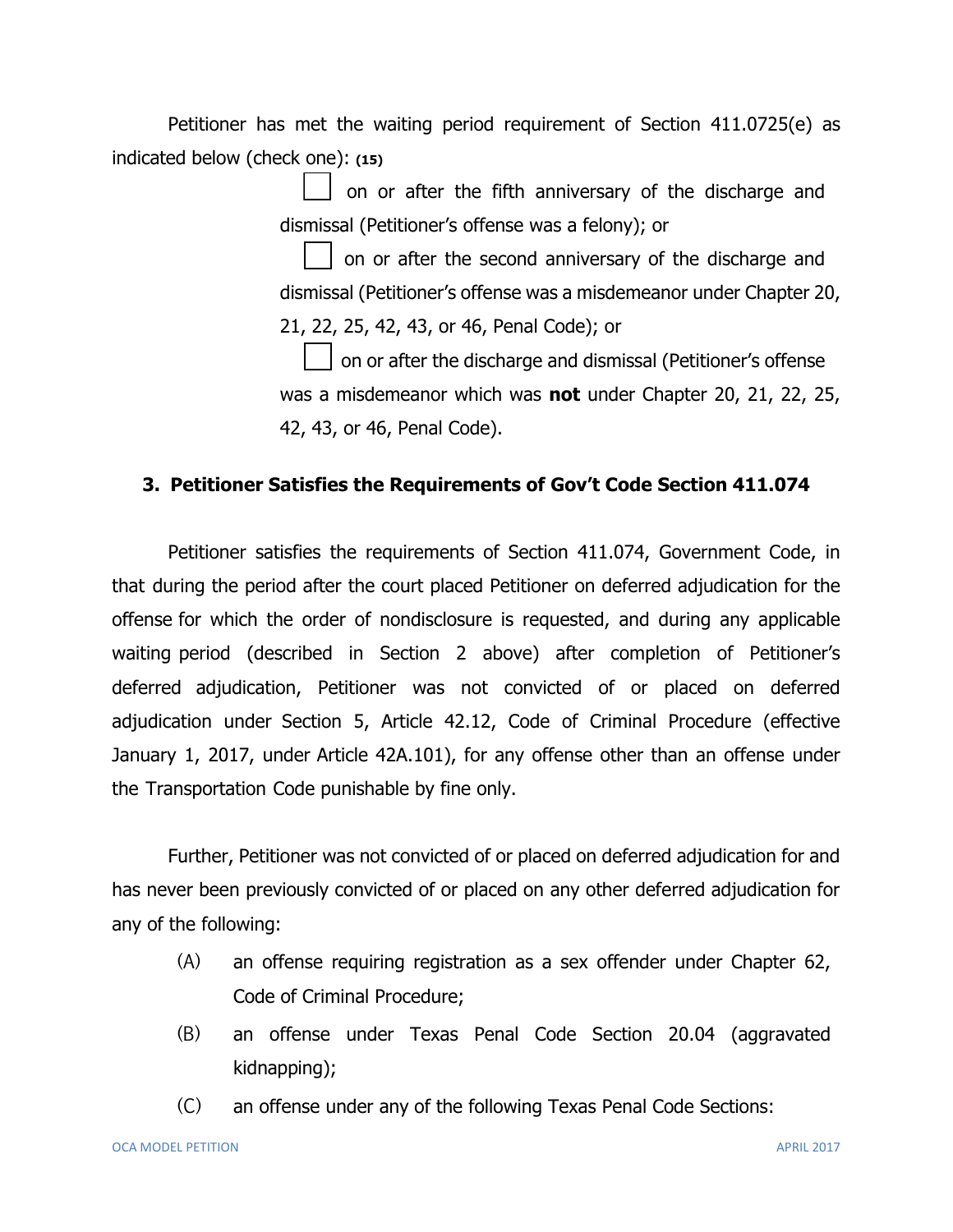Petitioner has met the waiting period requirement of Section 411.0725(e) as indicated below (check one): **(15)**

> on or after the fifth anniversary of the discharge and dismissal (Petitioner's offense was a felony); or

on or after the second anniversary of the discharge and dismissal (Petitioner's offense was a misdemeanor under Chapter 20, 21, 22, 25, 42, 43, or 46, Penal Code); or

on or after the discharge and dismissal (Petitioner's offense was a misdemeanor which was **not** under Chapter 20, 21, 22, 25, 42, 43, or 46, Penal Code).

#### **3. Petitioner Satisfies the Requirements of Gov't Code Section 411.074**

Petitioner satisfies the requirements of Section 411.074, Government Code, in that during the period after the court placed Petitioner on deferred adjudication for the offense for which the order of nondisclosure is requested, and during any applicable waiting period (described in Section 2 above) after completion of Petitioner's deferred adjudication, Petitioner was not convicted of or placed on deferred adjudication under Section 5, Article 42.12, Code of Criminal Procedure (effective January 1, 2017, under Article 42A.101), for any offense other than an offense under the Transportation Code punishable by fine only.

Further, Petitioner was not convicted of or placed on deferred adjudication for and has never been previously convicted of or placed on any other deferred adjudication for any of the following:

- (A) an offense requiring registration as a sex offender under Chapter 62, Code of Criminal Procedure;
- (B) an offense under Texas Penal Code Section 20.04 (aggravated kidnapping);
- (C) an offense under any of the following Texas Penal Code Sections: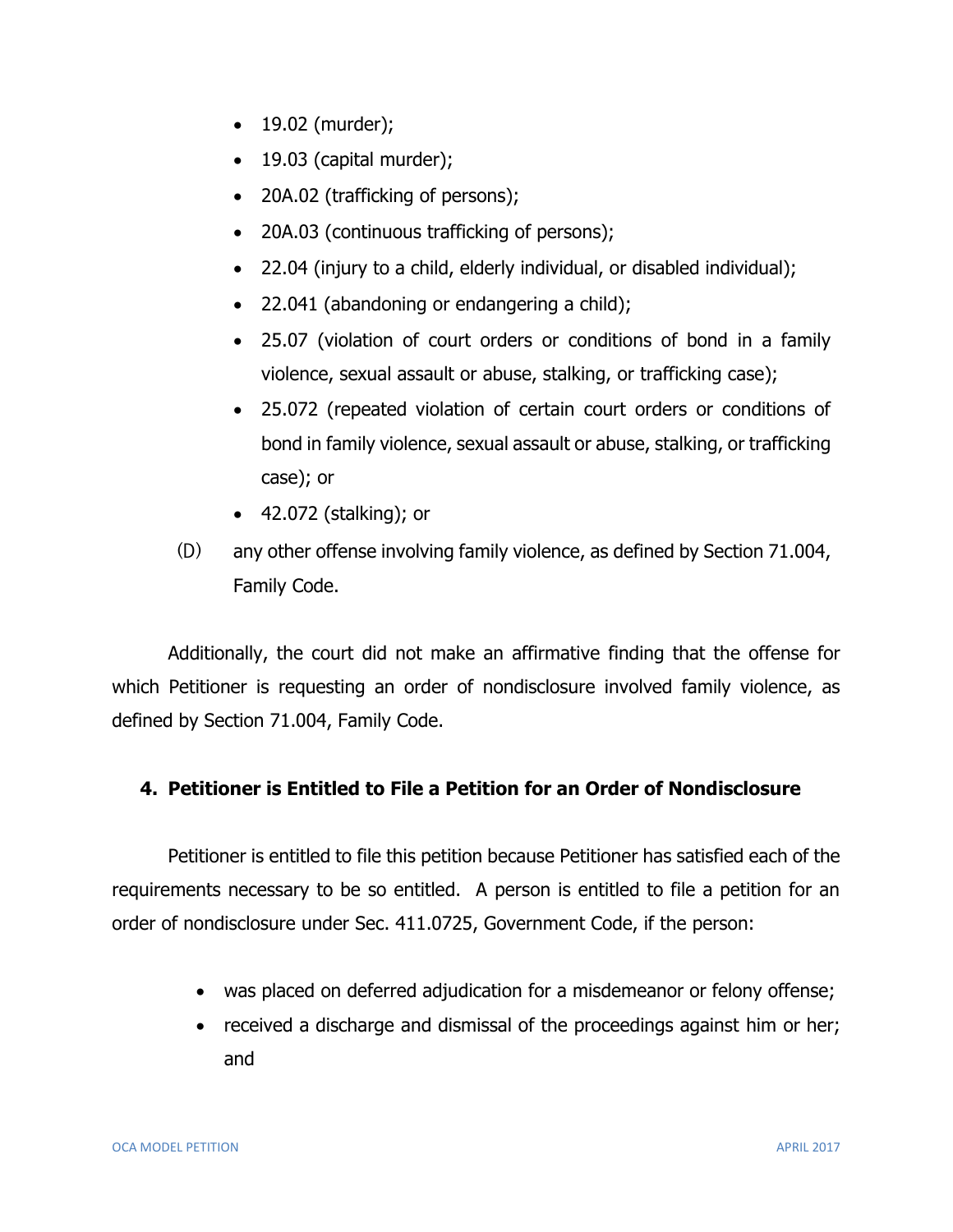- 19.02 (murder);
- $\bullet$  19.03 (capital murder);
- 20A.02 (trafficking of persons);
- 20A.03 (continuous trafficking of persons);
- 22.04 (injury to a child, elderly individual, or disabled individual);
- 22.041 (abandoning or endangering a child);
- 25.07 (violation of court orders or conditions of bond in a family violence, sexual assault or abuse, stalking, or trafficking case);
- 25.072 (repeated violation of certain court orders or conditions of bond in family violence, sexual assault or abuse, stalking, or trafficking case); or
- 42.072 (stalking); or
- (D) any other offense involving family violence, as defined by Section 71.004, Family Code.

Additionally, the court did not make an affirmative finding that the offense for which Petitioner is requesting an order of nondisclosure involved family violence, as defined by Section 71.004, Family Code.

#### **4. Petitioner is Entitled to File a Petition for an Order of Nondisclosure**

Petitioner is entitled to file this petition because Petitioner has satisfied each of the requirements necessary to be so entitled. A person is entitled to file a petition for an order of nondisclosure under Sec. 411.0725, Government Code, if the person:

- was placed on deferred adjudication for a misdemeanor or felony offense;
- received a discharge and dismissal of the proceedings against him or her; and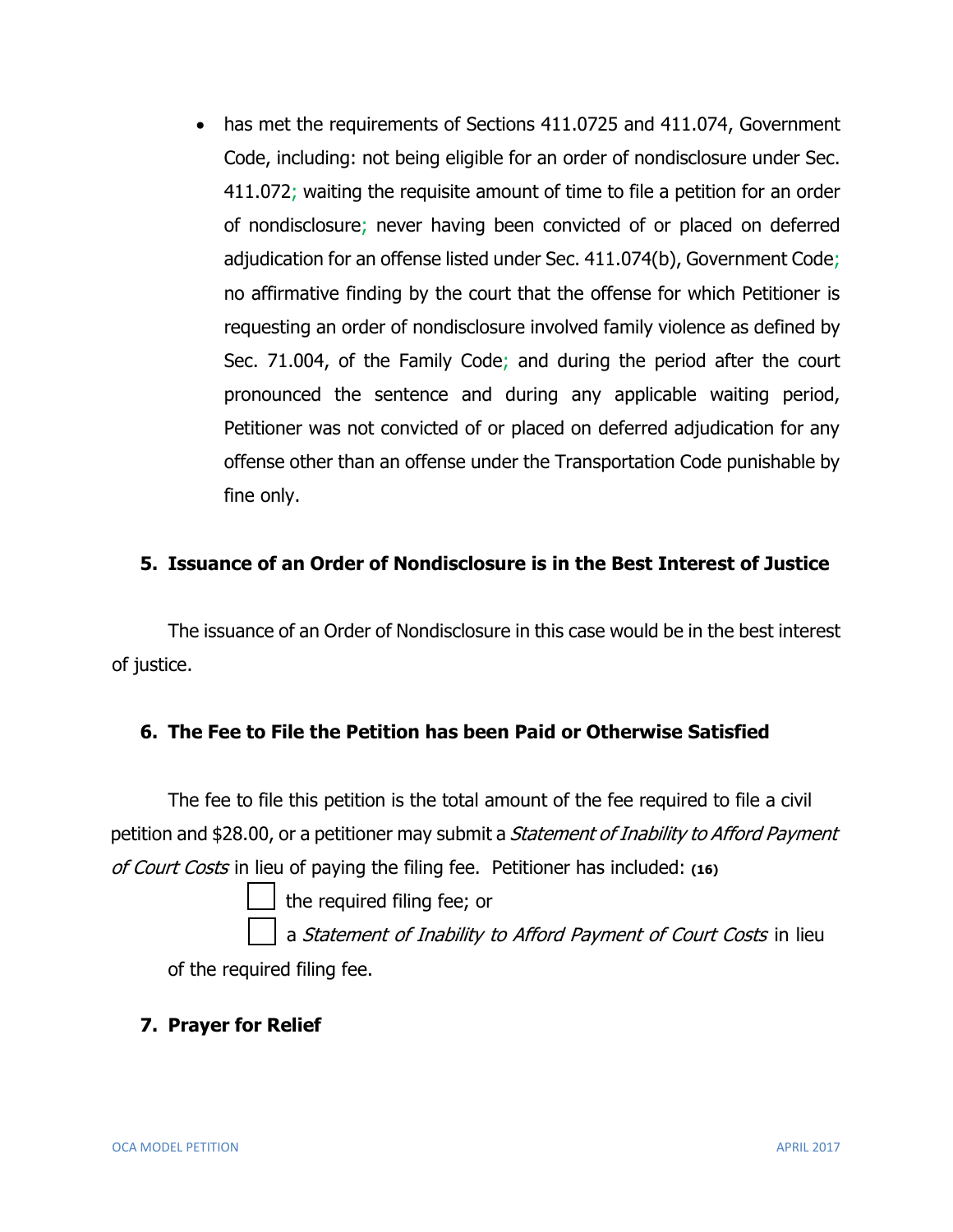• has met the requirements of Sections 411.0725 and 411.074, Government Code, including: not being eligible for an order of nondisclosure under Sec. 411.072; waiting the requisite amount of time to file a petition for an order of nondisclosure; never having been convicted of or placed on deferred adjudication for an offense listed under Sec. 411.074(b), Government Code; no affirmative finding by the court that the offense for which Petitioner is requesting an order of nondisclosure involved family violence as defined by Sec. 71.004, of the Family Code; and during the period after the court pronounced the sentence and during any applicable waiting period, Petitioner was not convicted of or placed on deferred adjudication for any offense other than an offense under the Transportation Code punishable by fine only.

### **5. Issuance of an Order of Nondisclosure is in the Best Interest of Justice**

The issuance of an Order of Nondisclosure in this case would be in the best interest of justice.

#### **6. The Fee to File the Petition has been Paid or Otherwise Satisfied**

The fee to file this petition is the total amount of the fee required to file a civil petition and \$28.00, or a petitioner may submit a Statement of Inability to Afford Payment of Court Costs in lieu of paying the filing fee. Petitioner has included: **(16)**

the required filing fee; or

a Statement of Inability to Afford Payment of Court Costs in lieu of the required filing fee.

#### **7. Prayer for Relief**